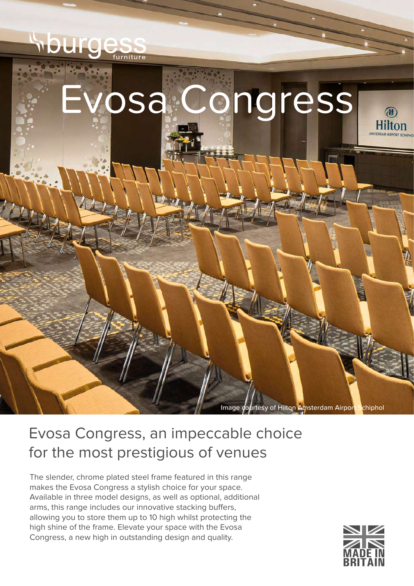

## Evosa Congress, an impeccable choice for the most prestigious of venues

The slender, chrome plated steel frame featured in this range makes the Evosa Congress a stylish choice for your space. Available in three model designs, as well as optional, additional arms, this range includes our innovative stacking buffers, allowing you to store them up to 10 high whilst protecting the high shine of the frame. Elevate your space with the Evosa Congress, a new high in outstanding design and quality.